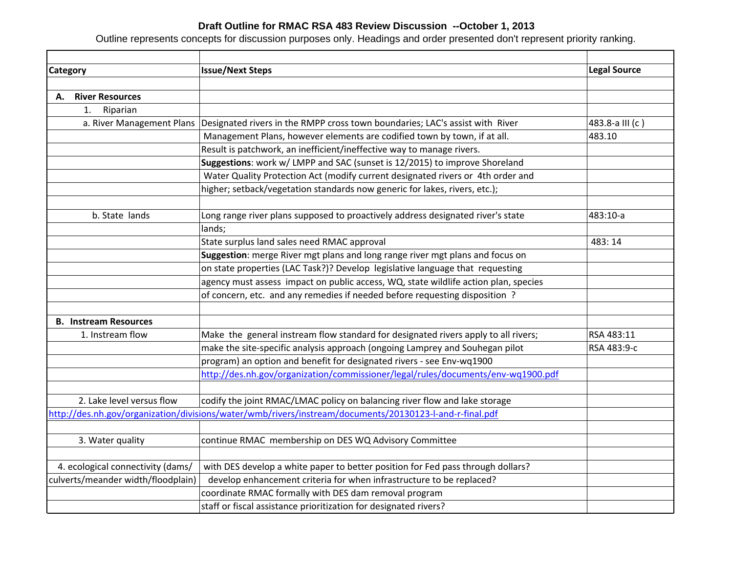## **Draft Outline for RMAC RSA 483 Review Discussion --October 1, 2013**

Outline represents concepts for discussion purposes only. Headings and order presented don't represent priority ranking.

| <b>Category</b>                    | <b>Issue/Next Steps</b>                                                                                 | <b>Legal Source</b> |
|------------------------------------|---------------------------------------------------------------------------------------------------------|---------------------|
|                                    |                                                                                                         |                     |
| <b>River Resources</b><br>А.       |                                                                                                         |                     |
| 1.<br>Riparian                     |                                                                                                         |                     |
| a. River Management Plans          | Designated rivers in the RMPP cross town boundaries; LAC's assist with River                            | 483.8-a III (c)     |
|                                    | Management Plans, however elements are codified town by town, if at all.                                | 483.10              |
|                                    | Result is patchwork, an inefficient/ineffective way to manage rivers.                                   |                     |
|                                    | Suggestions: work w/ LMPP and SAC (sunset is 12/2015) to improve Shoreland                              |                     |
|                                    | Water Quality Protection Act (modify current designated rivers or 4th order and                         |                     |
|                                    | higher; setback/vegetation standards now generic for lakes, rivers, etc.);                              |                     |
| b. State lands                     | Long range river plans supposed to proactively address designated river's state                         | 483:10-a            |
|                                    | lands;                                                                                                  |                     |
|                                    | State surplus land sales need RMAC approval                                                             | 483:14              |
|                                    | Suggestion: merge River mgt plans and long range river mgt plans and focus on                           |                     |
|                                    | on state properties (LAC Task?)? Develop legislative language that requesting                           |                     |
|                                    | agency must assess impact on public access, WQ, state wildlife action plan, species                     |                     |
|                                    | of concern, etc. and any remedies if needed before requesting disposition?                              |                     |
| <b>B.</b> Instream Resources       |                                                                                                         |                     |
| 1. Instream flow                   | Make the general instream flow standard for designated rivers apply to all rivers;                      | RSA 483:11          |
|                                    | make the site-specific analysis approach (ongoing Lamprey and Souhegan pilot                            | RSA 483:9-c         |
|                                    | program) an option and benefit for designated rivers - see Env-wq1900                                   |                     |
|                                    | http://des.nh.gov/organization/commissioner/legal/rules/documents/env-wq1900.pdf                        |                     |
| 2. Lake level versus flow          | codify the joint RMAC/LMAC policy on balancing river flow and lake storage                              |                     |
|                                    | http://des.nh.gov/organization/divisions/water/wmb/rivers/instream/documents/20130123-l-and-r-final.pdf |                     |
|                                    |                                                                                                         |                     |
| 3. Water quality                   | continue RMAC membership on DES WQ Advisory Committee                                                   |                     |
|                                    |                                                                                                         |                     |
| 4. ecological connectivity (dams/  | with DES develop a white paper to better position for Fed pass through dollars?                         |                     |
| culverts/meander width/floodplain) | develop enhancement criteria for when infrastructure to be replaced?                                    |                     |
|                                    | coordinate RMAC formally with DES dam removal program                                                   |                     |
|                                    | staff or fiscal assistance prioritization for designated rivers?                                        |                     |